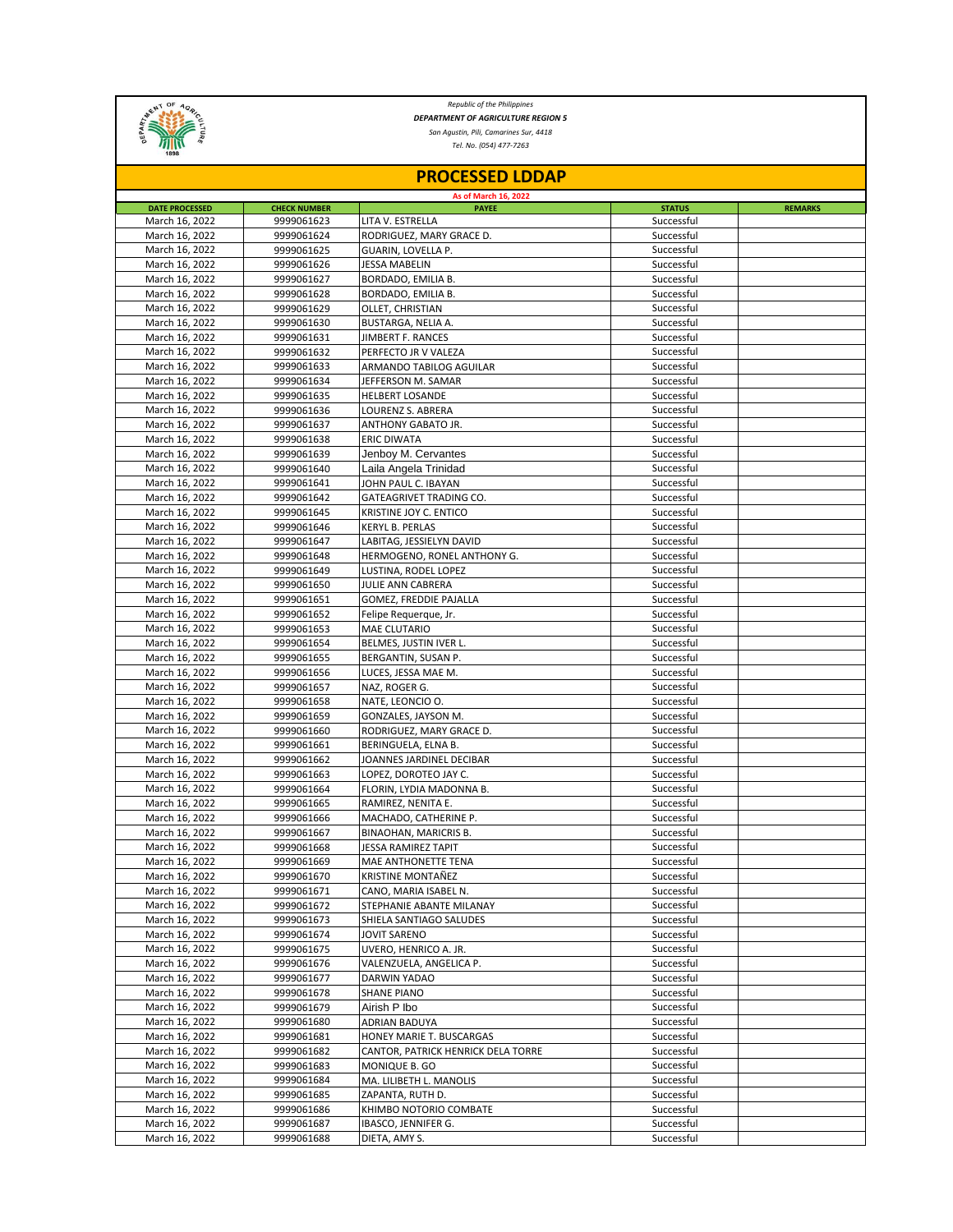

*Republic of the Philippines DEPARTMENT OF AGRICULTURE REGION 5*

*San Agustin, Pili, Camarines Sur, 4418*

*Tel. No. (054) 477-7263*

| As of March 16, 2022                                                                                                                            |                |
|-------------------------------------------------------------------------------------------------------------------------------------------------|----------------|
|                                                                                                                                                 |                |
| <b>DATE PROCESSED</b><br><b>CHECK NUMBER</b><br><b>STATUS</b><br><b>PAYEE</b><br>Successful<br>March 16, 2022<br>9999061623<br>LITA V. ESTRELLA | <b>REMARKS</b> |
| RODRIGUEZ, MARY GRACE D.<br>Successful<br>March 16, 2022<br>9999061624                                                                          |                |
| 9999061625<br>GUARIN, LOVELLA P.<br>Successful<br>March 16, 2022                                                                                |                |
| Successful<br>March 16, 2022<br>9999061626<br>JESSA MABELIN                                                                                     |                |
| March 16, 2022<br>9999061627<br>Successful<br>BORDADO, EMILIA B.                                                                                |                |
| March 16, 2022<br>BORDADO, EMILIA B.<br>Successful<br>9999061628                                                                                |                |
| 9999061629<br>OLLET, CHRISTIAN<br>Successful<br>March 16, 2022                                                                                  |                |
| March 16, 2022<br>9999061630<br>Successful<br>BUSTARGA, NELIA A.                                                                                |                |
| 9999061631<br>Successful<br>March 16, 2022<br>JIMBERT F. RANCES                                                                                 |                |
| March 16, 2022<br>9999061632<br>PERFECTO JR V VALEZA<br>Successful                                                                              |                |
| Successful<br>March 16, 2022<br>9999061633<br>ARMANDO TABILOG AGUILAR                                                                           |                |
| March 16, 2022<br>9999061634<br>JEFFERSON M. SAMAR<br>Successful                                                                                |                |
| <b>HELBERT LOSANDE</b><br>Successful<br>March 16, 2022<br>9999061635                                                                            |                |
| March 16, 2022<br>Successful<br>9999061636<br>LOURENZ S. ABRERA                                                                                 |                |
| March 16, 2022<br>Successful<br>9999061637<br>ANTHONY GABATO JR.                                                                                |                |
| Successful<br>March 16, 2022<br><b>ERIC DIWATA</b><br>9999061638<br>Successful                                                                  |                |
| March 16, 2022<br>9999061639<br>Jenboy M. Cervantes<br>Successful<br>March 16, 2022                                                             |                |
| 9999061640<br>Laila Angela Trinidad<br>Successful<br>March 16, 2022<br>9999061641<br>JOHN PAUL C. IBAYAN                                        |                |
| Successful<br>March 16, 2022<br>GATEAGRIVET TRADING CO.<br>9999061642                                                                           |                |
| March 16, 2022<br>Successful<br>9999061645<br>KRISTINE JOY C. ENTICO                                                                            |                |
| Successful<br>March 16, 2022<br>9999061646<br>KERYL B. PERLAS                                                                                   |                |
| March 16, 2022<br>Successful<br>9999061647<br>LABITAG, JESSIELYN DAVID                                                                          |                |
| March 16, 2022<br>9999061648<br>HERMOGENO, RONEL ANTHONY G.<br>Successful                                                                       |                |
| Successful<br>March 16, 2022<br>9999061649<br>LUSTINA, RODEL LOPEZ                                                                              |                |
| March 16, 2022<br>9999061650<br>JULIE ANN CABRERA<br>Successful                                                                                 |                |
| March 16, 2022<br>9999061651<br><b>GOMEZ, FREDDIE PAJALLA</b><br>Successful                                                                     |                |
| 9999061652<br>Successful<br>March 16, 2022<br>Felipe Requerque, Jr.                                                                             |                |
| Successful<br>March 16, 2022<br>9999061653<br><b>MAE CLUTARIO</b>                                                                               |                |
| March 16, 2022<br>BELMES, JUSTIN IVER L.<br>Successful<br>9999061654                                                                            |                |
| March 16, 2022<br>9999061655<br>BERGANTIN, SUSAN P.<br>Successful                                                                               |                |
| 9999061656<br>LUCES, JESSA MAE M.<br>Successful<br>March 16, 2022                                                                               |                |
| March 16, 2022<br>9999061657<br>Successful<br>NAZ, ROGER G.                                                                                     |                |
| Successful<br>March 16, 2022<br>9999061658<br>NATE, LEONCIO O.                                                                                  |                |
| March 16, 2022<br>9999061659<br>GONZALES, JAYSON M.<br>Successful                                                                               |                |
| Successful<br>March 16, 2022<br>9999061660<br>RODRIGUEZ, MARY GRACE D.                                                                          |                |
| 9999061661<br>Successful<br>March 16, 2022<br>BERINGUELA, ELNA B.                                                                               |                |
| Successful<br>March 16, 2022<br>9999061662<br>JOANNES JARDINEL DECIBAR<br>Successful                                                            |                |
| March 16, 2022<br>LOPEZ, DOROTEO JAY C.<br>9999061663<br>March 16, 2022<br>9999061664<br>FLORIN, LYDIA MADONNA B.<br>Successful                 |                |
| March 16, 2022<br>Successful<br>9999061665<br>RAMIREZ, NENITA E.                                                                                |                |
| March 16, 2022<br>9999061666<br>Successful<br>MACHADO, CATHERINE P.                                                                             |                |
| Successful<br>March 16, 2022<br>9999061667<br>BINAOHAN, MARICRIS B.                                                                             |                |
| March 16, 2022<br>Successful<br>9999061668<br>JESSA RAMIREZ TAPIT                                                                               |                |
| March 16, 2022<br>9999061669<br>MAE ANTHONETTE TENA<br>Successful                                                                               |                |
| March 16, 2022<br>9999061670<br><b>KRISTINE MONTAÑEZ</b><br>Successful                                                                          |                |
| March 16, 2022<br>9999061671<br>Successful<br>CANO, MARIA ISABEL N.                                                                             |                |
| Successful<br>March 16, 2022<br>9999061672<br>STEPHANIE ABANTE MILANAY                                                                          |                |
| Successful<br>March 16, 2022<br>9999061673<br>SHIELA SANTIAGO SALUDES                                                                           |                |
| March 16, 2022<br>Successful<br>9999061674<br>JOVIT SARENO                                                                                      |                |
| March 16, 2022<br>Successful<br>9999061675<br>UVERO, HENRICO A. JR.                                                                             |                |
| Successful<br>March 16, 2022<br>9999061676<br>VALENZUELA, ANGELICA P.                                                                           |                |
| Successful<br>March 16, 2022<br>9999061677<br>DARWIN YADAO                                                                                      |                |
| March 16, 2022<br>9999061678<br><b>SHANE PIANO</b><br>Successful                                                                                |                |
| March 16, 2022<br>9999061679<br>Airish P Ibo<br>Successful                                                                                      |                |
| March 16, 2022<br>9999061680<br>Successful<br>ADRIAN BADUYA                                                                                     |                |
| HONEY MARIE T. BUSCARGAS<br>Successful<br>March 16, 2022<br>9999061681<br>March 16, 2022                                                        |                |
| 9999061682<br>CANTOR, PATRICK HENRICK DELA TORRE<br>Successful<br>Successful<br>March 16, 2022<br>9999061683                                    |                |
| MONIQUE B. GO<br>Successful<br>March 16, 2022<br>9999061684<br>MA. LILIBETH L. MANOLIS                                                          |                |
| Successful<br>March 16, 2022<br>9999061685<br>ZAPANTA, RUTH D.                                                                                  |                |
| March 16, 2022<br>9999061686<br>KHIMBO NOTORIO COMBATE<br>Successful                                                                            |                |
| March 16, 2022<br>9999061687<br>IBASCO, JENNIFER G.<br>Successful                                                                               |                |
| 9999061688<br>Successful<br>March 16, 2022<br>DIETA, AMY S.                                                                                     |                |